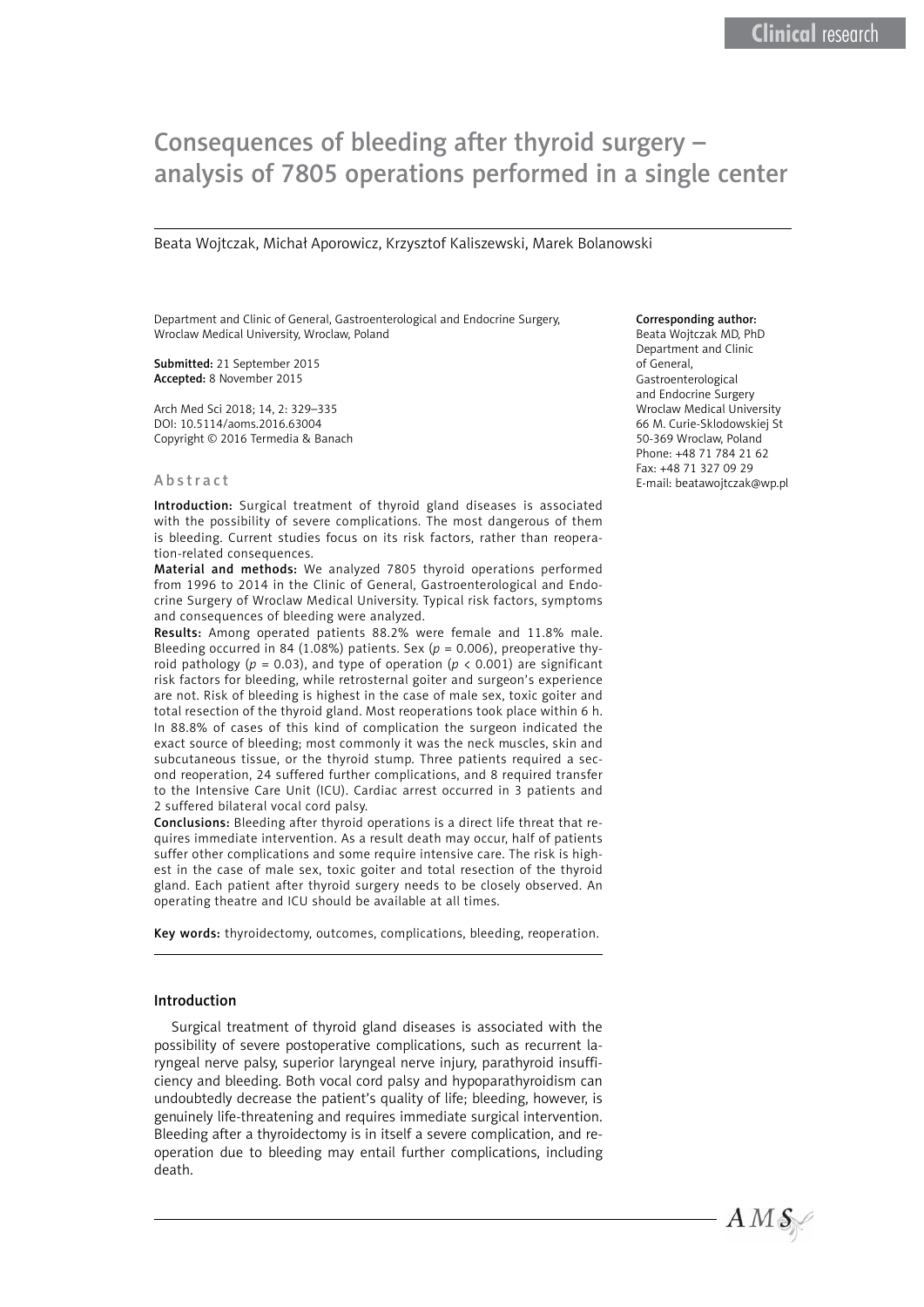# Consequences of bleeding after thyroid surgery – analysis of 7805 operations performed in a single center

Beata Wojtczak, Michał Aporowicz, Krzysztof Kaliszewski, Marek Bolanowski

Department and Clinic of General, Gastroenterological and Endocrine Surgery, Wroclaw Medical University, Wroclaw, Poland

Submitted: 21 September 2015 Accepted: 8 November 2015

Arch Med Sci 2018; 14, 2: 329–335 DOI: 10.5114/aoms.2016.63004 Copyright © 2016 Termedia & Banach

#### Abstract

Introduction: Surgical treatment of thyroid gland diseases is associated with the possibility of severe complications. The most dangerous of them is bleeding. Current studies focus on its risk factors, rather than reoperation-related consequences.

Material and methods: We analyzed 7805 thyroid operations performed from 1996 to 2014 in the Clinic of General, Gastroenterological and Endocrine Surgery of Wroclaw Medical University. Typical risk factors, symptoms and consequences of bleeding were analyzed.

Results: Among operated patients 88.2% were female and 11.8% male. Bleeding occurred in 84 (1.08%) patients. Sex (*p* = 0.006), preoperative thyroid pathology ( $p = 0.03$ ), and type of operation ( $p < 0.001$ ) are significant risk factors for bleeding, while retrosternal goiter and surgeon's experience are not. Risk of bleeding is highest in the case of male sex, toxic goiter and total resection of the thyroid gland. Most reoperations took place within 6 h. In 88.8% of cases of this kind of complication the surgeon indicated the exact source of bleeding; most commonly it was the neck muscles, skin and subcutaneous tissue, or the thyroid stump. Three patients required a second reoperation, 24 suffered further complications, and 8 required transfer to the Intensive Care Unit (ICU). Cardiac arrest occurred in 3 patients and 2 suffered bilateral vocal cord palsy.

Conclusions: Bleeding after thyroid operations is a direct life threat that requires immediate intervention. As a result death may occur, half of patients suffer other complications and some require intensive care. The risk is highest in the case of male sex, toxic goiter and total resection of the thyroid gland. Each patient after thyroid surgery needs to be closely observed. An operating theatre and ICU should be available at all times.

Key words: thyroidectomy, outcomes, complications, bleeding, reoperation.

#### Introduction

Surgical treatment of thyroid gland diseases is associated with the possibility of severe postoperative complications, such as recurrent laryngeal nerve palsy, superior laryngeal nerve injury, parathyroid insufficiency and bleeding. Both vocal cord palsy and hypoparathyroidism can undoubtedly decrease the patient's quality of life; bleeding, however, is genuinely life-threatening and requires immediate surgical intervention. Bleeding after a thyroidectomy is in itself a severe complication, and reoperation due to bleeding may entail further complications, including death.

## Corresponding author:

Beata Wojtczak MD, PhD Department and Clinic of General, Gastroenterological and Endocrine Surgery Wroclaw Medical University 66 M. Curie-Sklodowskiej St 50-369 Wroclaw, Poland Phone: +48 71 784 21 62 Fax: +48 71 327 09 29 E-mail: [beatawojtczak@wp.pl](mailto:beatawojtczak@wp.pl)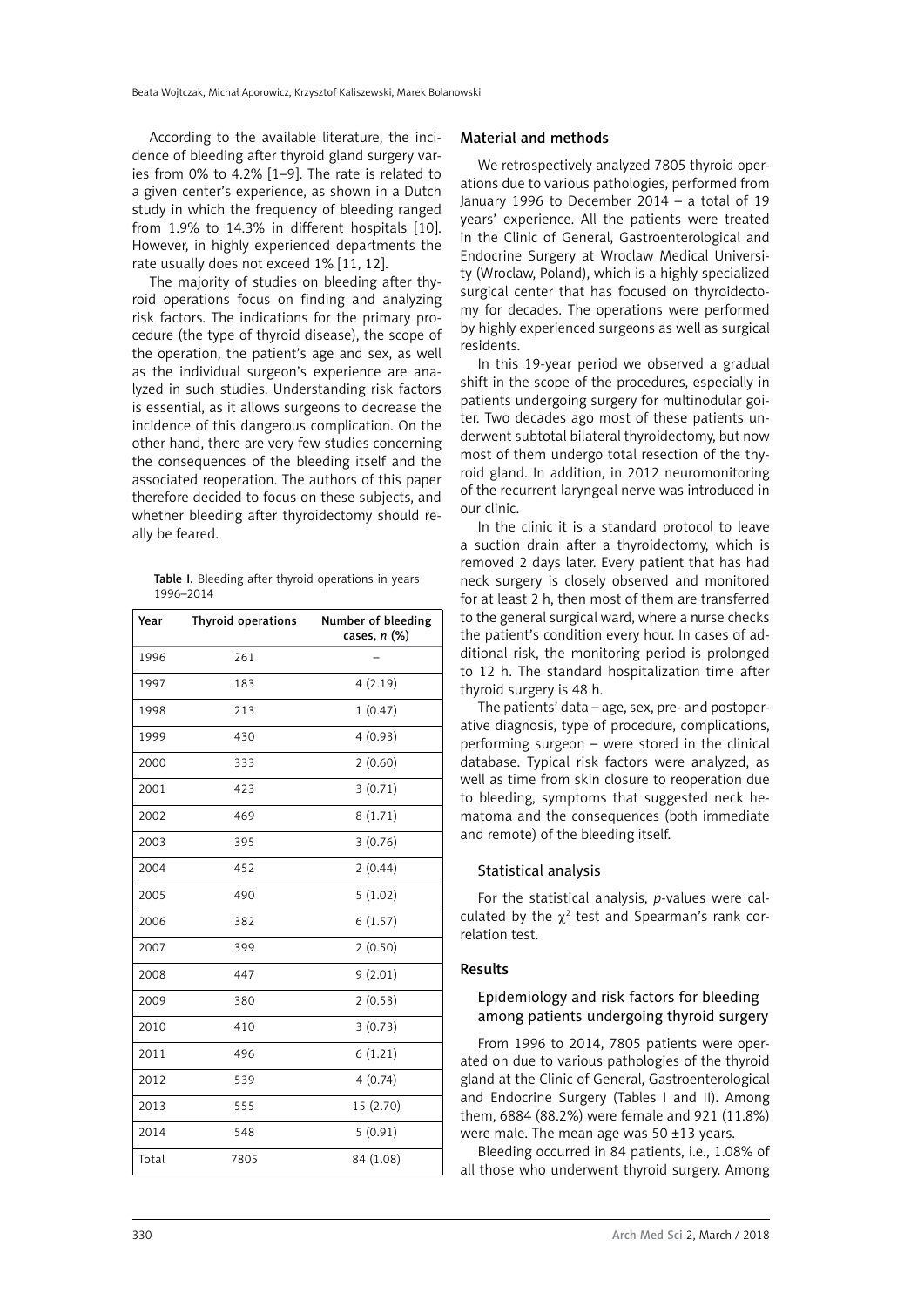According to the available literature, the incidence of bleeding after thyroid gland surgery varies from 0% to 4.2% [1–9]. The rate is related to a given center's experience, as shown in a Dutch study in which the frequency of bleeding ranged from 1.9% to 14.3% in different hospitals [10]. However, in highly experienced departments the rate usually does not exceed 1% [11, 12].

The majority of studies on bleeding after thyroid operations focus on finding and analyzing risk factors. The indications for the primary procedure (the type of thyroid disease), the scope of the operation, the patient's age and sex, as well as the individual surgeon's experience are analyzed in such studies. Understanding risk factors is essential, as it allows surgeons to decrease the incidence of this dangerous complication. On the other hand, there are very few studies concerning the consequences of the bleeding itself and the associated reoperation. The authors of this paper therefore decided to focus on these subjects, and whether bleeding after thyroidectomy should really be feared.

Table I. Bleeding after thyroid operations in years 1996–2014

| Year  | Thyroid operations | Number of bleeding<br>cases, $n$ (%) |
|-------|--------------------|--------------------------------------|
| 1996  | 261                |                                      |
| 1997  | 183                | 4(2.19)                              |
| 1998  | 213                | 1(0.47)                              |
| 1999  | 430                | 4(0.93)                              |
| 2000  | 333                | 2(0.60)                              |
| 2001  | 423                | 3(0.71)                              |
| 2002  | 469                | 8(1.71)                              |
| 2003  | 395                | 3(0.76)                              |
| 2004  | 452                | 2(0.44)                              |
| 2005  | 490                | 5(1.02)                              |
| 2006  | 382                | 6(1.57)                              |
| 2007  | 399                | 2(0.50)                              |
| 2008  | 447                | 9(2.01)                              |
| 2009  | 380                | 2(0.53)                              |
| 2010  | 410                | 3(0.73)                              |
| 2011  | 496                | 6(1.21)                              |
| 2012  | 539                | 4(0.74)                              |
| 2013  | 555                | 15 (2.70)                            |
| 2014  | 548                | 5(0.91)                              |
| Total | 7805               | 84 (1.08)                            |

#### Material and methods

We retrospectively analyzed 7805 thyroid operations due to various pathologies, performed from January 1996 to December 2014 – a total of 19 years' experience. All the patients were treated in the Clinic of General, Gastroenterological and Endocrine Surgery at Wroclaw Medical University (Wroclaw, Poland), which is a highly specialized surgical center that has focused on thyroidectomy for decades. The operations were performed by highly experienced surgeons as well as surgical residents.

In this 19-year period we observed a gradual shift in the scope of the procedures, especially in patients undergoing surgery for multinodular goiter. Two decades ago most of these patients underwent subtotal bilateral thyroidectomy, but now most of them undergo total resection of the thyroid gland. In addition, in 2012 neuromonitoring of the recurrent laryngeal nerve was introduced in our clinic.

In the clinic it is a standard protocol to leave a suction drain after a thyroidectomy, which is removed 2 days later. Every patient that has had neck surgery is closely observed and monitored for at least 2 h, then most of them are transferred to the general surgical ward, where a nurse checks the patient's condition every hour. In cases of additional risk, the monitoring period is prolonged to 12 h. The standard hospitalization time after thyroid surgery is 48 h.

The patients' data – age, sex, pre- and postoperative diagnosis, type of procedure, complications, performing surgeon – were stored in the clinical database. Typical risk factors were analyzed, as well as time from skin closure to reoperation due to bleeding, symptoms that suggested neck hematoma and the consequences (both immediate and remote) of the bleeding itself.

### Statistical analysis

For the statistical analysis, *p*-values were calculated by the  $\chi^2$  test and Spearman's rank correlation test.

## Results

# Epidemiology and risk factors for bleeding among patients undergoing thyroid surgery

From 1996 to 2014, 7805 patients were operated on due to various pathologies of the thyroid gland at the Clinic of General, Gastroenterological and Endocrine Surgery (Tables I and II). Among them, 6884 (88.2%) were female and 921 (11.8%) were male. The mean age was 50 ±13 years.

Bleeding occurred in 84 patients, i.e., 1.08% of all those who underwent thyroid surgery. Among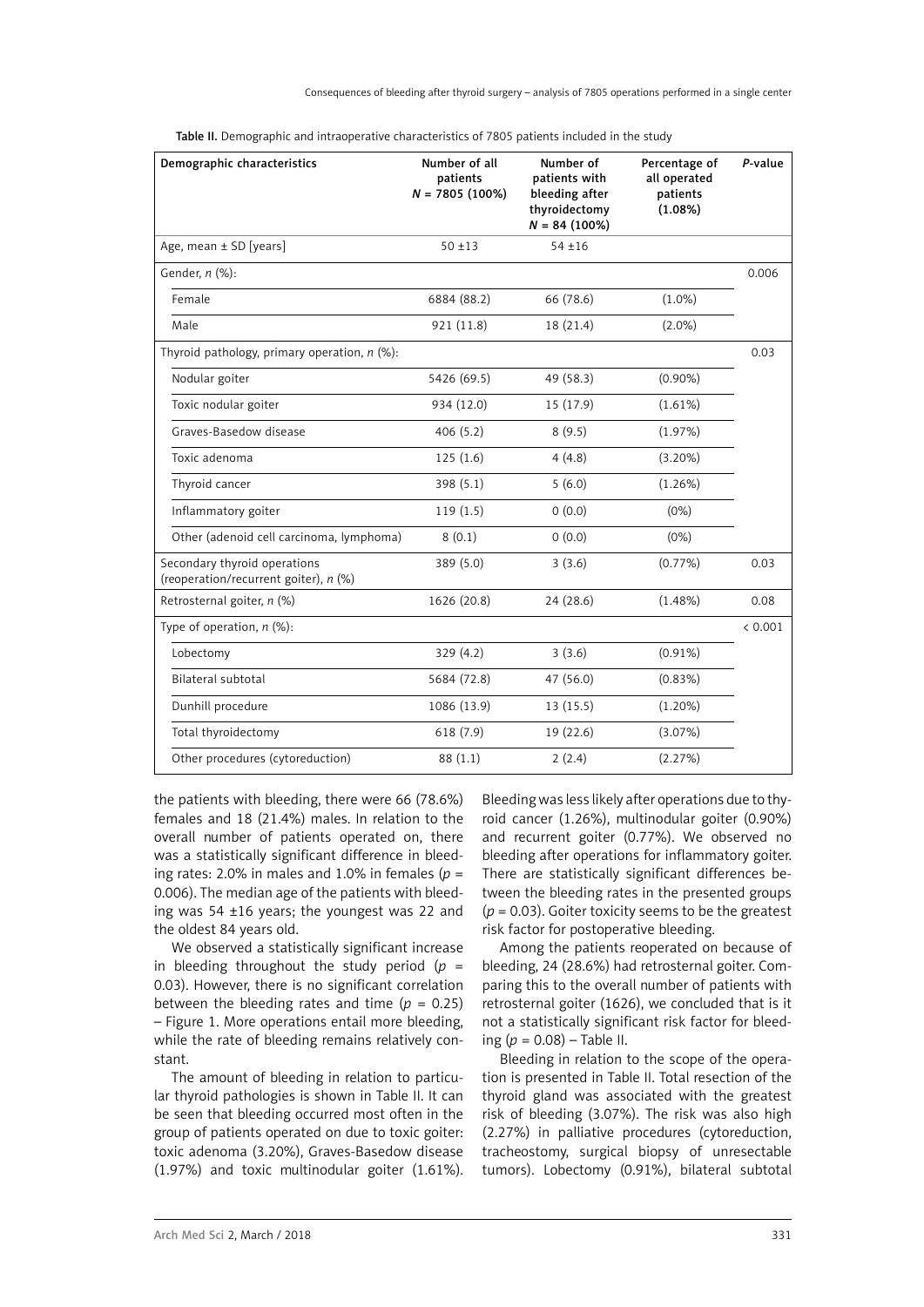Consequences of bleeding after thyroid surgery – analysis of 7805 operations performed in a single center

| Demographic characteristics                                           | Number of all<br>patients<br>$N = 7805(100\%)$ | Number of<br>patients with<br>bleeding after<br>thyroidectomy<br>$N = 84$ (100%) | Percentage of<br>all operated<br>patients<br>(1.08%) | P-value |
|-----------------------------------------------------------------------|------------------------------------------------|----------------------------------------------------------------------------------|------------------------------------------------------|---------|
| Age, mean ± SD [years]                                                | $50 + 13$                                      | $54 + 16$                                                                        |                                                      |         |
| Gender, n (%):                                                        |                                                |                                                                                  |                                                      | 0.006   |
| Female                                                                | 6884 (88.2)                                    | 66 (78.6)                                                                        | $(1.0\%)$                                            |         |
| Male                                                                  | 921 (11.8)                                     | 18 (21.4)                                                                        | $(2.0\%)$                                            |         |
| Thyroid pathology, primary operation, $n$ (%):                        |                                                |                                                                                  |                                                      | 0.03    |
| Nodular goiter                                                        | 5426 (69.5)                                    | 49 (58.3)                                                                        | $(0.90\%)$                                           |         |
| Toxic nodular goiter                                                  | 934 (12.0)                                     | 15 (17.9)                                                                        | (1.61%)                                              |         |
| Graves-Basedow disease                                                | 406 (5.2)                                      | 8(9.5)                                                                           | (1.97%)                                              |         |
| Toxic adenoma                                                         | 125(1.6)                                       | 4(4.8)                                                                           | $(3.20\%)$                                           |         |
| Thyroid cancer                                                        | 398 (5.1)                                      | 5(6.0)                                                                           | $(1.26\%)$                                           |         |
| Inflammatory goiter                                                   | 119(1.5)                                       | 0(0.0)                                                                           | (0%)                                                 |         |
| Other (adenoid cell carcinoma, lymphoma)                              | 8(0.1)                                         | 0(0.0)                                                                           | (0%)                                                 |         |
| Secondary thyroid operations<br>(reoperation/recurrent goiter), n (%) | 389 (5.0)                                      | 3(3.6)                                                                           | $(0.77\%)$                                           | 0.03    |
| Retrosternal goiter, n (%)                                            | 1626 (20.8)                                    | 24(28.6)                                                                         | $(1.48\%)$                                           | 0.08    |
| Type of operation, $n$ (%):                                           |                                                |                                                                                  |                                                      | < 0.001 |
| Lobectomy                                                             | 329 (4.2)                                      | 3(3.6)                                                                           | $(0.91\%)$                                           |         |
| <b>Bilateral subtotal</b>                                             | 5684 (72.8)                                    | 47 (56.0)                                                                        | $(0.83\%)$                                           |         |
| Dunhill procedure                                                     | 1086 (13.9)                                    | 13 (15.5)                                                                        | $(1.20\%)$                                           |         |
| Total thyroidectomy                                                   | 618 (7.9)                                      | 19 (22.6)                                                                        | (3.07%)                                              |         |
| Other procedures (cytoreduction)                                      | 88 (1.1)                                       | 2(2.4)                                                                           | (2.27%)                                              |         |

Table II. Demographic and intraoperative characteristics of 7805 patients included in the study

the patients with bleeding, there were 66 (78.6%) females and 18 (21.4%) males. In relation to the overall number of patients operated on, there was a statistically significant difference in bleeding rates: 2.0% in males and 1.0% in females ( $p =$ 0.006). The median age of the patients with bleeding was 54 ±16 years; the youngest was 22 and the oldest 84 years old.

We observed a statistically significant increase in bleeding throughout the study period  $(p =$ 0.03). However, there is no significant correlation between the bleeding rates and time  $(p = 0.25)$ – Figure 1. More operations entail more bleeding, while the rate of bleeding remains relatively constant.

The amount of bleeding in relation to particular thyroid pathologies is shown in Table II. It can be seen that bleeding occurred most often in the group of patients operated on due to toxic goiter: toxic adenoma (3.20%), Graves-Basedow disease (1.97%) and toxic multinodular goiter (1.61%).

Bleeding was less likely after operations due to thyroid cancer (1.26%), multinodular goiter (0.90%) and recurrent goiter (0.77%). We observed no bleeding after operations for inflammatory goiter. There are statistically significant differences between the bleeding rates in the presented groups  $(p = 0.03)$ . Goiter toxicity seems to be the greatest risk factor for postoperative bleeding.

Among the patients reoperated on because of bleeding, 24 (28.6%) had retrosternal goiter. Comparing this to the overall number of patients with retrosternal goiter (1626), we concluded that is it not a statistically significant risk factor for bleeding (*p* = 0.08) – Table II.

Bleeding in relation to the scope of the operation is presented in Table II. Total resection of the thyroid gland was associated with the greatest risk of bleeding (3.07%). The risk was also high (2.27%) in palliative procedures (cytoreduction, tracheostomy, surgical biopsy of unresectable tumors). Lobectomy (0.91%), bilateral subtotal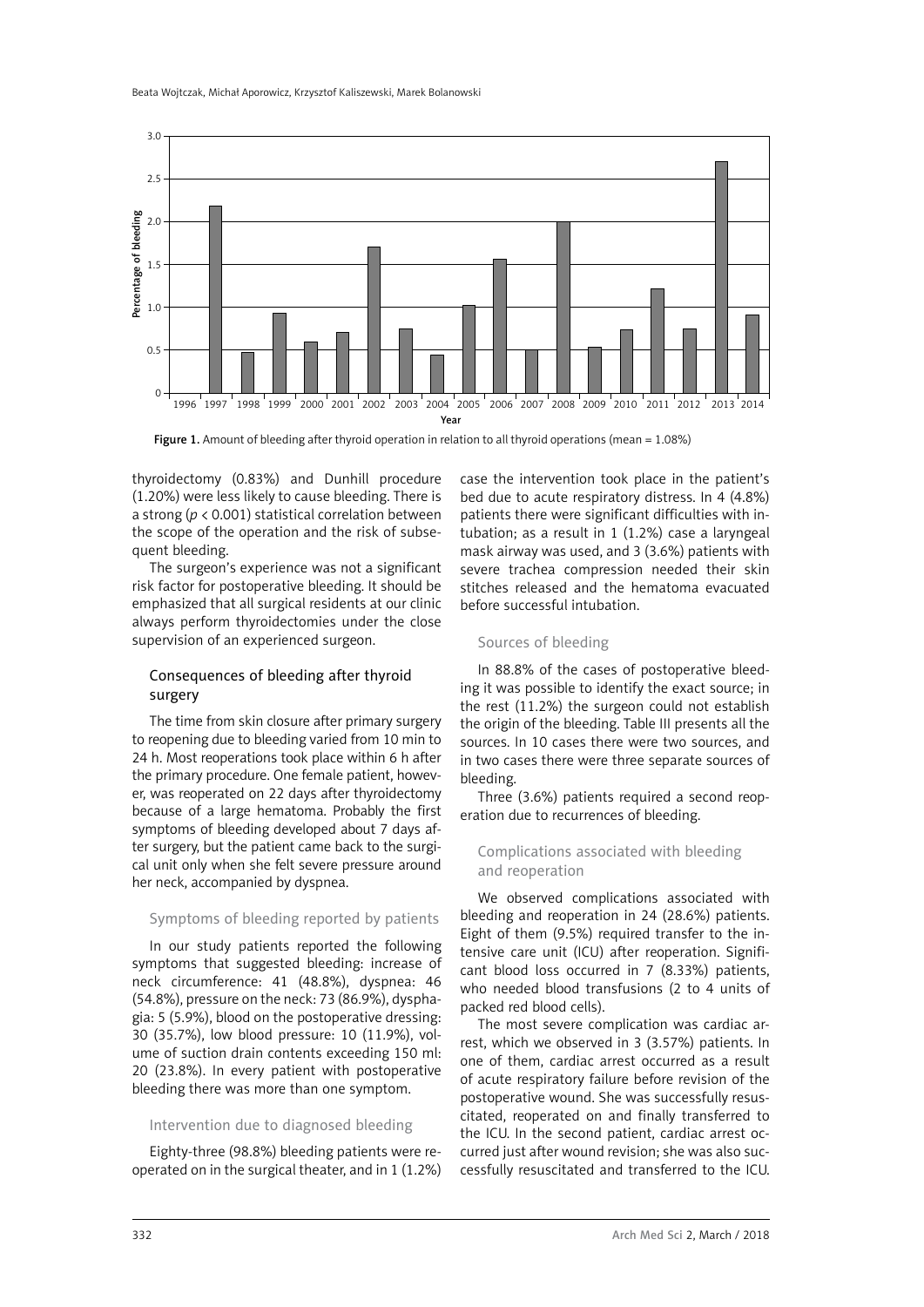

Figure 1. Amount of bleeding after thyroid operation in relation to all thyroid operations (mean = 1.08%)

thyroidectomy (0.83%) and Dunhill procedure (1.20%) were less likely to cause bleeding. There is a strong (*p* < 0.001) statistical correlation between the scope of the operation and the risk of subsequent bleeding.

The surgeon's experience was not a significant risk factor for postoperative bleeding. It should be emphasized that all surgical residents at our clinic always perform thyroidectomies under the close supervision of an experienced surgeon.

# Consequences of bleeding after thyroid surgery

The time from skin closure after primary surgery to reopening due to bleeding varied from 10 min to 24 h. Most reoperations took place within 6 h after the primary procedure. One female patient, however, was reoperated on 22 days after thyroidectomy because of a large hematoma. Probably the first symptoms of bleeding developed about 7 days after surgery, but the patient came back to the surgical unit only when she felt severe pressure around her neck, accompanied by dyspnea.

## Symptoms of bleeding reported by patients

In our study patients reported the following symptoms that suggested bleeding: increase of neck circumference: 41 (48.8%), dyspnea: 46 (54.8%), pressure on the neck: 73 (86.9%), dysphagia: 5 (5.9%), blood on the postoperative dressing: 30 (35.7%), low blood pressure: 10 (11.9%), volume of suction drain contents exceeding 150 ml: 20 (23.8%). In every patient with postoperative bleeding there was more than one symptom.

# Intervention due to diagnosed bleeding

Eighty-three (98.8%) bleeding patients were reoperated on in the surgical theater, and in 1 (1.2%) case the intervention took place in the patient's bed due to acute respiratory distress. In 4 (4.8%) patients there were significant difficulties with intubation; as a result in 1 (1.2%) case a laryngeal mask airway was used, and 3 (3.6%) patients with severe trachea compression needed their skin stitches released and the hematoma evacuated before successful intubation.

### Sources of bleeding

In 88.8% of the cases of postoperative bleeding it was possible to identify the exact source; in the rest (11.2%) the surgeon could not establish the origin of the bleeding. Table III presents all the sources. In 10 cases there were two sources, and in two cases there were three separate sources of bleeding.

Three (3.6%) patients required a second reoperation due to recurrences of bleeding.

## Complications associated with bleeding and reoperation

We observed complications associated with bleeding and reoperation in 24 (28.6%) patients. Eight of them (9.5%) required transfer to the intensive care unit (ICU) after reoperation. Significant blood loss occurred in 7 (8.33%) patients, who needed blood transfusions (2 to 4 units of packed red blood cells).

The most severe complication was cardiac arrest, which we observed in 3 (3.57%) patients. In one of them, cardiac arrest occurred as a result of acute respiratory failure before revision of the postoperative wound. She was successfully resuscitated, reoperated on and finally transferred to the ICU. In the second patient, cardiac arrest occurred just after wound revision; she was also successfully resuscitated and transferred to the ICU.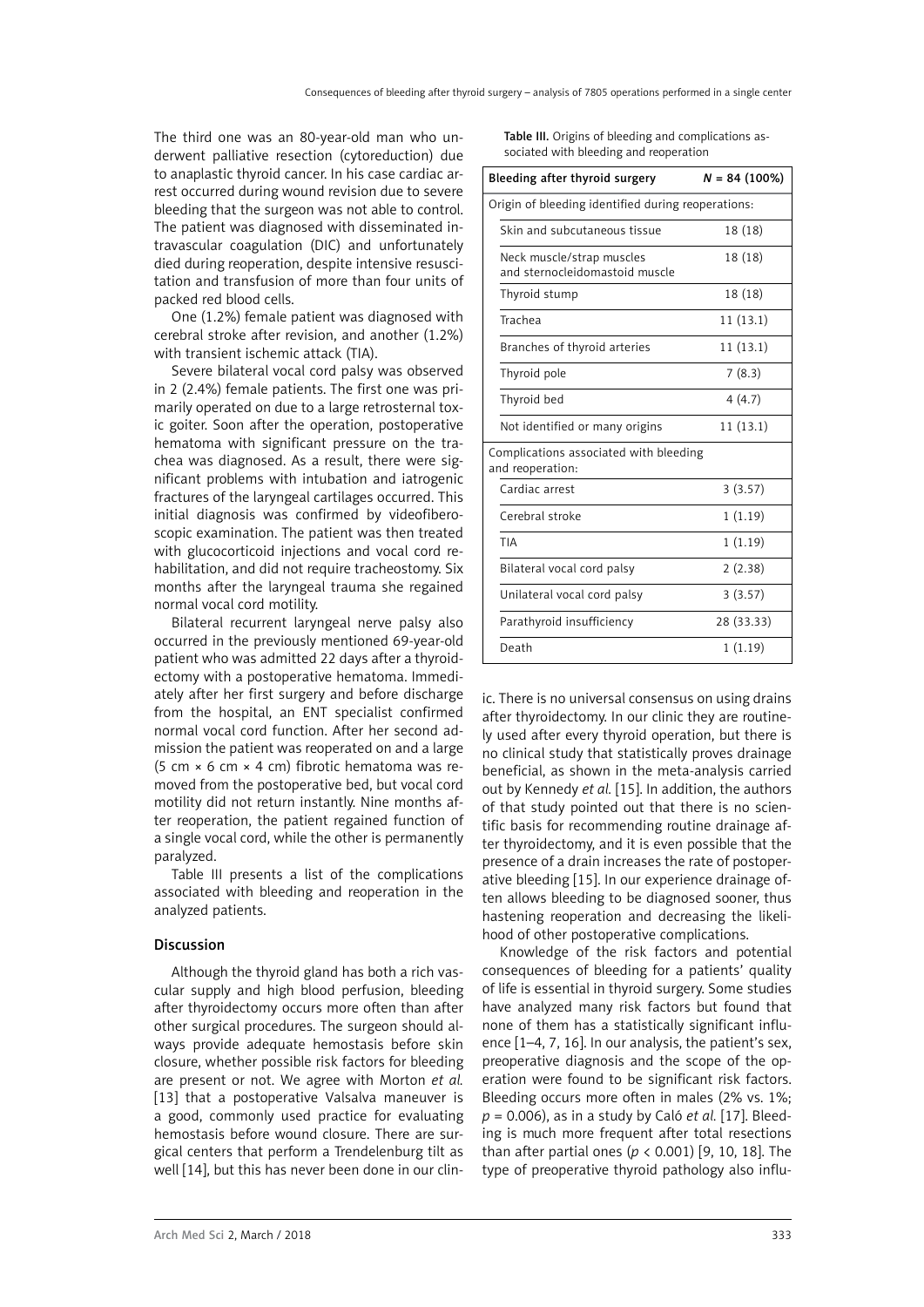The third one was an 80-year-old man who underwent palliative resection (cytoreduction) due to anaplastic thyroid cancer. In his case cardiac arrest occurred during wound revision due to severe bleeding that the surgeon was not able to control. The patient was diagnosed with disseminated intravascular coagulation (DIC) and unfortunately died during reoperation, despite intensive resuscitation and transfusion of more than four units of packed red blood cells.

One (1.2%) female patient was diagnosed with cerebral stroke after revision, and another (1.2%) with transient ischemic attack (TIA).

Severe bilateral vocal cord palsy was observed in 2 (2.4%) female patients. The first one was primarily operated on due to a large retrosternal toxic goiter. Soon after the operation, postoperative hematoma with significant pressure on the trachea was diagnosed. As a result, there were significant problems with intubation and iatrogenic fractures of the laryngeal cartilages occurred. This initial diagnosis was confirmed by videofiberoscopic examination. The patient was then treated with glucocorticoid injections and vocal cord rehabilitation, and did not require tracheostomy. Six months after the laryngeal trauma she regained normal vocal cord motility.

Bilateral recurrent laryngeal nerve palsy also occurred in the previously mentioned 69-year-old patient who was admitted 22 days after a thyroidectomy with a postoperative hematoma. Immediately after her first surgery and before discharge from the hospital, an ENT specialist confirmed normal vocal cord function. After her second admission the patient was reoperated on and a large (5 cm × 6 cm × 4 cm) fibrotic hematoma was removed from the postoperative bed, but vocal cord motility did not return instantly. Nine months after reoperation, the patient regained function of a single vocal cord, while the other is permanently paralyzed.

Table III presents a list of the complications associated with bleeding and reoperation in the analyzed patients.

## Discussion

Although the thyroid gland has both a rich vascular supply and high blood perfusion, bleeding after thyroidectomy occurs more often than after other surgical procedures. The surgeon should always provide adequate hemostasis before skin closure, whether possible risk factors for bleeding are present or not. We agree with Morton *et al.* [13] that a postoperative Valsalya maneuver is a good, commonly used practice for evaluating hemostasis before wound closure. There are surgical centers that perform a Trendelenburg tilt as well [14], but this has never been done in our clinTable III. Origins of bleeding and complications associated with bleeding and reoperation

| Bleeding after thyroid surgery                              | $N = 84(100\%)$ |  |  |  |
|-------------------------------------------------------------|-----------------|--|--|--|
| Origin of bleeding identified during reoperations:          |                 |  |  |  |
| Skin and subcutaneous tissue                                | 18 (18)         |  |  |  |
| Neck muscle/strap muscles<br>and sternocleidomastoid muscle | 18 (18)         |  |  |  |
| Thyroid stump                                               | 18 (18)         |  |  |  |
| Trachea                                                     | 11(13.1)        |  |  |  |
| Branches of thyroid arteries                                | 11 (13.1)       |  |  |  |
| Thyroid pole                                                | 7(8.3)          |  |  |  |
| Thyroid bed                                                 | 4(4.7)          |  |  |  |
| Not identified or many origins                              | 11(13.1)        |  |  |  |
| Complications associated with bleeding<br>and reoperation:  |                 |  |  |  |
| Cardiac arrest                                              | 3(3.57)         |  |  |  |
| Cerebral stroke                                             | 1(1.19)         |  |  |  |
| TIA                                                         | 1(1.19)         |  |  |  |
| Bilateral vocal cord palsy                                  | 2(2.38)         |  |  |  |
| Unilateral vocal cord palsy                                 | 3(3.57)         |  |  |  |
| Parathyroid insufficiency                                   | 28 (33.33)      |  |  |  |
| Death                                                       | 1(1.19)         |  |  |  |

ic. There is no universal consensus on using drains after thyroidectomy. In our clinic they are routinely used after every thyroid operation, but there is no clinical study that statistically proves drainage beneficial, as shown in the meta-analysis carried out by Kennedy *et al.* [15]. In addition, the authors of that study pointed out that there is no scientific basis for recommending routine drainage after thyroidectomy, and it is even possible that the presence of a drain increases the rate of postoperative bleeding [15]. In our experience drainage often allows bleeding to be diagnosed sooner, thus hastening reoperation and decreasing the likelihood of other postoperative complications.

Knowledge of the risk factors and potential consequences of bleeding for a patients' quality of life is essential in thyroid surgery. Some studies have analyzed many risk factors but found that none of them has a statistically significant influence [1–4, 7, 16]. In our analysis, the patient's sex, preoperative diagnosis and the scope of the operation were found to be significant risk factors. Bleeding occurs more often in males (2% vs. 1%; *p* = 0.006), as in a study by Caló *et al.* [17]. Bleeding is much more frequent after total resections than after partial ones (*p* < 0.001) [9, 10, 18]. The type of preoperative thyroid pathology also influ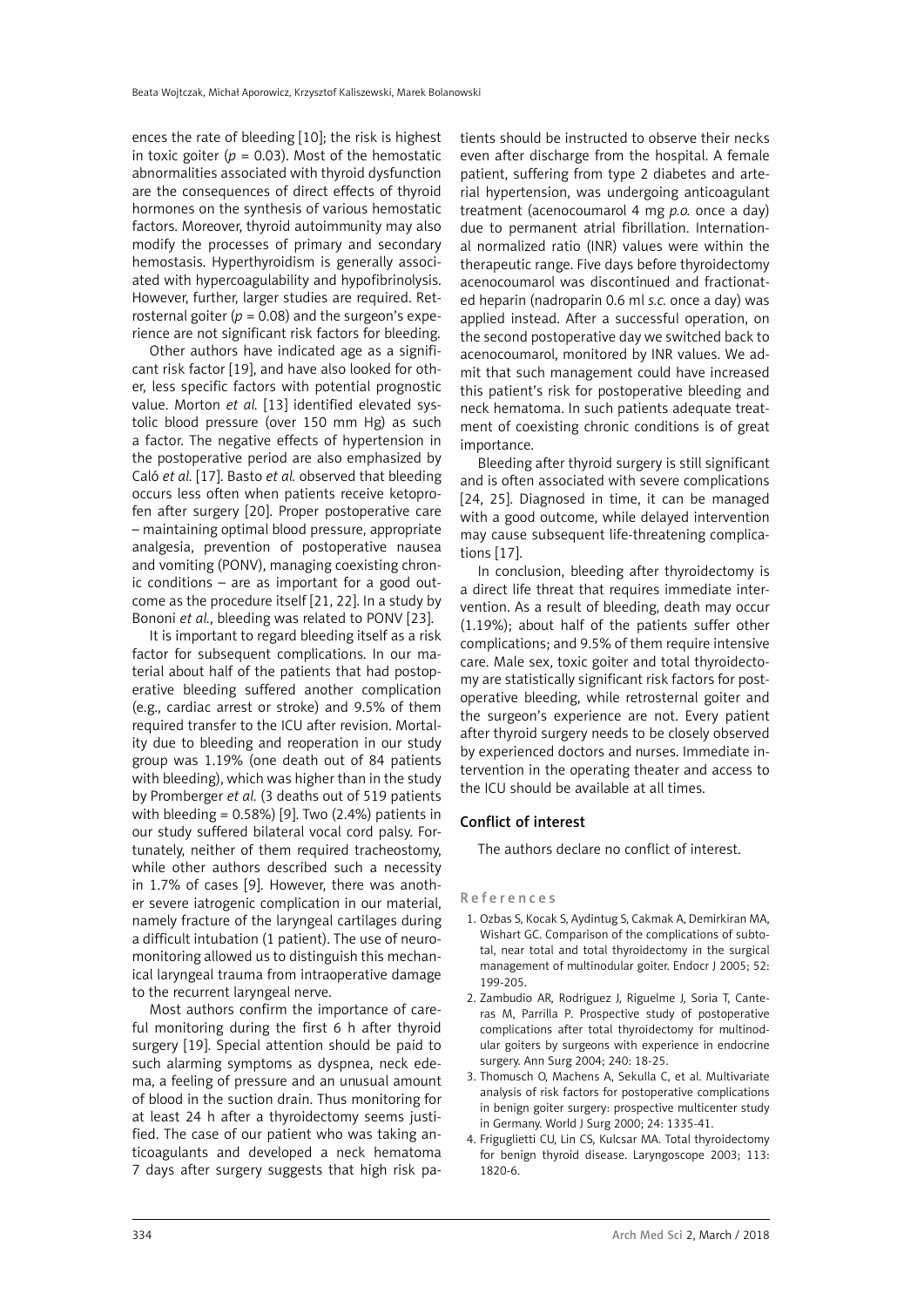ences the rate of bleeding [10]; the risk is highest in toxic goiter ( $p = 0.03$ ). Most of the hemostatic abnormalities associated with thyroid dysfunction are the consequences of direct effects of thyroid hormones on the synthesis of various hemostatic factors. Moreover, thyroid autoimmunity may also modify the processes of primary and secondary hemostasis. Hyperthyroidism is generally associated with hypercoagulability and hypofibrinolysis. However, further, larger studies are required. Retrosternal goiter ( $p = 0.08$ ) and the surgeon's experience are not significant risk factors for bleeding.

Other authors have indicated age as a significant risk factor [19], and have also looked for other, less specific factors with potential prognostic value. Morton *et al.* [13] identified elevated systolic blood pressure (over 150 mm Hg) as such a factor. The negative effects of hypertension in the postoperative period are also emphasized by Caló *et al.* [17]. Basto *et al.* observed that bleeding occurs less often when patients receive ketoprofen after surgery [20]. Proper postoperative care – maintaining optimal blood pressure, appropriate analgesia, prevention of postoperative nausea and vomiting (PONV), managing coexisting chronic conditions – are as important for a good outcome as the procedure itself [21, 22]. In a study by Bononi *et al.*, bleeding was related to PONV [23].

It is important to regard bleeding itself as a risk factor for subsequent complications. In our material about half of the patients that had postoperative bleeding suffered another complication (e.g., cardiac arrest or stroke) and 9.5% of them required transfer to the ICU after revision. Mortality due to bleeding and reoperation in our study group was 1.19% (one death out of 84 patients with bleeding), which was higher than in the study by Promberger *et al.* (3 deaths out of 519 patients with bleeding =  $0.58\%$  [9]. Two (2.4%) patients in our study suffered bilateral vocal cord palsy. Fortunately, neither of them required tracheostomy, while other authors described such a necessity in 1.7% of cases [9]. However, there was another severe iatrogenic complication in our material, namely fracture of the laryngeal cartilages during a difficult intubation (1 patient). The use of neuromonitoring allowed us to distinguish this mechanical laryngeal trauma from intraoperative damage to the recurrent laryngeal nerve.

Most authors confirm the importance of careful monitoring during the first 6 h after thyroid surgery [19]. Special attention should be paid to such alarming symptoms as dyspnea, neck edema, a feeling of pressure and an unusual amount of blood in the suction drain. Thus monitoring for at least 24 h after a thyroidectomy seems justified. The case of our patient who was taking anticoagulants and developed a neck hematoma 7 days after surgery suggests that high risk patients should be instructed to observe their necks even after discharge from the hospital. A female patient, suffering from type 2 diabetes and arterial hypertension, was undergoing anticoagulant treatment (acenocoumarol 4 mg *p.o.* once a day) due to permanent atrial fibrillation. International normalized ratio (INR) values were within the therapeutic range. Five days before thyroidectomy acenocoumarol was discontinued and fractionated heparin (nadroparin 0.6 ml *s.c.* once a day) was applied instead. After a successful operation, on the second postoperative day we switched back to acenocoumarol, monitored by INR values. We admit that such management could have increased this patient's risk for postoperative bleeding and neck hematoma. In such patients adequate treatment of coexisting chronic conditions is of great importance.

Bleeding after thyroid surgery is still significant and is often associated with severe complications [24, 25]. Diagnosed in time, it can be managed with a good outcome, while delayed intervention may cause subsequent life-threatening complications [17].

In conclusion, bleeding after thyroidectomy is a direct life threat that requires immediate intervention. As a result of bleeding, death may occur (1.19%); about half of the patients suffer other complications; and 9.5% of them require intensive care. Male sex, toxic goiter and total thyroidectomy are statistically significant risk factors for postoperative bleeding, while retrosternal goiter and the surgeon's experience are not. Every patient after thyroid surgery needs to be closely observed by experienced doctors and nurses. Immediate intervention in the operating theater and access to the ICU should be available at all times.

# Conflict of interest

The authors declare no conflict of interest.

#### References

- 1. Ozbas S, Kocak S, Aydintug S, Cakmak A, Demirkiran MA, Wishart GC. Comparison of the complications of subtotal, near total and total thyroidectomy in the surgical management of multinodular goiter. Endocr J 2005; 52: 199-205.
- 2. Zambudio AR, Rodriguez J, Riguelme J, Soria T, Canteras M, Parrilla P. Prospective study of postoperative complications after total thyroidectomy for multinodular goiters by surgeons with experience in endocrine surgery. Ann Surg 2004; 240: 18-25.
- 3. Thomusch O, Machens A, Sekulla C, et al. Multivariate analysis of risk factors for postoperative complications in benign goiter surgery: prospective multicenter study in Germany. World J Surg 2000; 24: 1335-41.
- 4. Friguglietti CU, Lin CS, Kulcsar MA. Total thyroidectomy for benign thyroid disease. Laryngoscope 2003; 113: 1820-6.